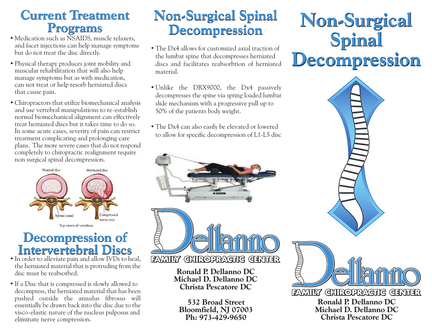### **Current Treatment Current Treatment Programs**

- Medication such as NSAIDS, muscle relaxers, and facet injections can help manage symptoms but do not treat the disc directly.
- Physical therapy produces joint mobility and muscular rehabilitation that will also help manage symptoms but as with medication, can not treat or help resorb herniated discs that cause pain.
- Chiropractors that utilize biomechanical analysis and use vertebral manipulations to re-establish normal biomechanical alignment can effectively treat herniated discs but it takes time to do so. In some acute cases, severity of pain can restrict treatment complicating and prolonging care plans. The more severe cases that do not respond completely to chiropractic realignment require non surgical spinal decompression. **Programs**<br>
dication such as NSAIDS, muscle relaxer<br>
facet injections can help manage symptoc<br>
do not treat the disc directly.<br>
sixical therapy produces joint mobility and<br>
mage symptoms but as with medication,<br>
not treat



#### **Intervertebral Discs Intervertebral Discs Decompression of**

- In order to alleviate pain and allow IVDs to heal, the herniated material that is protruding from the disc must be reabsorbed.
- If a Disc that is compressed is slowly allowed to decompress, the herniated material that has been pushed outside the annulus fibrosus will essentially be drawn back into the disc due to the visco-elastic nature of the nucleus pulposus and eliminate nerve compression.

## **Non-Surgical Spinal Non-Surgical Spinal Decompression**

- The Dx4 allows for customized axial traction of the lumbar spine that decompresses herniated discs and facilitates reabsorbtion of herniated material.
- Unlike the DRX9000, the Dx4 passively decompresses the spine via spring loaded lumbar slide mechanism with a progressive pull up to 50% of the patients body weight.
- The Dx4 can also easily be elevated or lowered to allow for specific decompression of L1-L5 disc





**Ronald P. Dellanno DC Michael D. Dellanno DC Christa Pescatore DC**

**532 Broad Street Bloomfield, NJ 07003 Ph: 973-429-9650**

# **Non-Surgical Non-Surgical Spinal Spinal Decompression Decompression**



**Michael D. Dellanno DC Christa Pescatore DC**